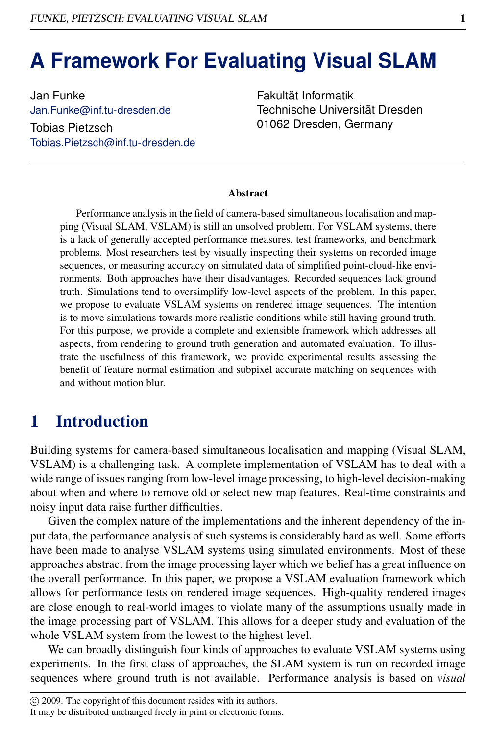# **A Framework For Evaluating Visual SLAM**

Jan Funke Jan.Funke@inf.tu-dresden.de Tobias Pietzsch Tobias.Pietzsch@inf.tu-dresden.de Fakultät Informatik Technische Universität Dresden 01062 Dresden, Germany

#### Abstract

Performance analysis in the field of camera-based simultaneous localisation and mapping (Visual SLAM, VSLAM) is still an unsolved problem. For VSLAM systems, there is a lack of generally accepted performance measures, test frameworks, and benchmark problems. Most researchers test by visually inspecting their systems on recorded image sequences, or measuring accuracy on simulated data of simplified point-cloud-like environments. Both approaches have their disadvantages. Recorded sequences lack ground truth. Simulations tend to oversimplify low-level aspects of the problem. In this paper, we propose to evaluate VSLAM systems on rendered image sequences. The intention is to move simulations towards more realistic conditions while still having ground truth. For this purpose, we provide a complete and extensible framework which addresses all aspects, from rendering to ground truth generation and automated evaluation. To illustrate the usefulness of this framework, we provide experimental results assessing the benefit of feature normal estimation and subpixel accurate matching on sequences with and without motion blur.

## 1 Introduction

Building systems for camera-based simultaneous localisation and mapping (Visual SLAM, VSLAM) is a challenging task. A complete implementation of VSLAM has to deal with a wide range of issues ranging from low-level image processing, to high-level decision-making about when and where to remove old or select new map features. Real-time constraints and noisy input data raise further difficulties.

Given the complex nature of the implementations and the inherent dependency of the input data, the performance analysis of such systems is considerably hard as well. Some efforts have been made to analyse VSLAM systems using simulated environments. Most of these approaches abstract from the image processing layer which we belief has a great influence on the overall performance. In this paper, we propose a VSLAM evaluation framework which allows for performance tests on rendered image sequences. High-quality rendered images are close enough to real-world images to violate many of the assumptions usually made in the image processing part of VSLAM. This allows for a deeper study and evaluation of the whole VSLAM system from the lowest to the highest level.

We can broadly distinguish four kinds of approaches to evaluate VSLAM systems using experiments. In the first class of approaches, the SLAM system is run on recorded image sequences where ground truth is not available. Performance analysis is based on *visual*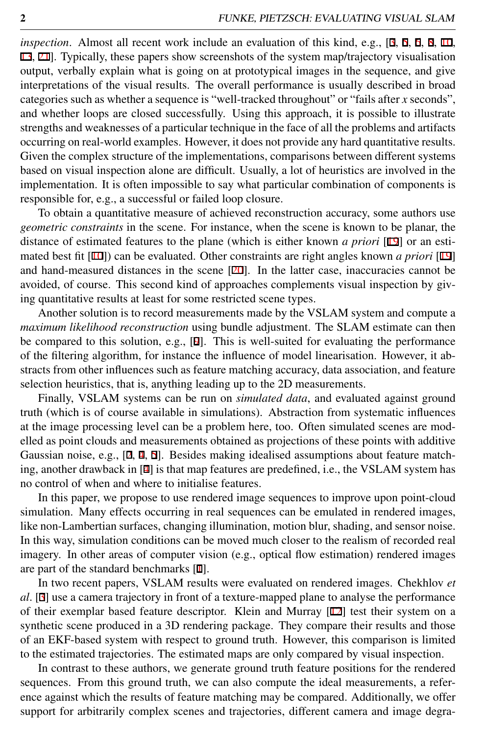*inspection*. Almost all recent work include an evaluation of this kind, e.g., [3, 5, 6, 8, 10, 13, 21]. Typically, these papers show screenshots of the system map/trajectory visualisation output, verbally explain what is going on at prototypical images in the sequence, and give interpretations of the visual results. The overall performance is usually described in broad categories such as whether a sequence is "well-tracked throughout" or "fails after *x* seconds", and whether loops are closed successfully. Using this approach, it is possible to illustrate strengths and weaknesses of a particular technique in the face of all the problems and artifacts occurring on real-world examples. However, it does not provide any hard quantitative results. Given the complex structure of the implementations, comparisons between different systems based on visual inspection alone are difficult. Usually, a lot of heuristics are involved in the implementation. It is often impossible to say what particular combination of components is responsible for, e.g., a successful or failed loop closure.

To obtain a quantitative measure of achieved reconstruction accuracy, some authors use *geometric constraints* in the scene. For instance, when the scene is known to be planar, the distance of estimated features to the plane (which is either known *a priori* [19] or an estimated best fit [10]) can be evaluated. Other constraints are right angles known *a priori* [19] and hand-measured distances in the scene  $[20]$ . In the latter case, inaccuracies cannot be avoided, of course. This second kind of approaches complements visual inspection by giving quantitative results at least for some restricted scene types.

Another solution is to record measurements made by the VSLAM system and compute a *maximum likelihood reconstruction* using bundle adjustment. The SLAM estimate can then be compared to this solution, e.g., [9]. This is well-suited for evaluating the performance of the filtering algorithm, for instance the influence of model linearisation. However, it abstracts from other influences such as feature matching accuracy, data association, and feature selection heuristics, that is, anything leading up to the 2D measurements.

Finally, VSLAM systems can be run on *simulated data*, and evaluated against ground truth (which is of course available in simulations). Abstraction from systematic influences at the image processing level can be a problem here, too. Often simulated scenes are modelled as point clouds and measurements obtained as projections of these points with additive Gaussian noise, e.g., [2, 4, 5]. Besides making idealised assumptions about feature matching, another drawback in [4] is that map features are predefined, i.e., the VSLAM system has no control of when and where to initialise features.

In this paper, we propose to use rendered image sequences to improve upon point-cloud simulation. Many effects occurring in real sequences can be emulated in rendered images, like non-Lambertian surfaces, changing illumination, motion blur, shading, and sensor noise. In this way, simulation conditions can be moved much closer to the realism of recorded real imagery. In other areas of computer vision (e.g., optical flow estimation) rendered images are part of the standard benchmarks [1].

In two recent papers, VSLAM results were evaluated on rendered images. Chekhlov *et al*. [3] use a camera trajectory in front of a texture-mapped plane to analyse the performance of their exemplar based feature descriptor. Klein and Murray [12] test their system on a synthetic scene produced in a 3D rendering package. They compare their results and those of an EKF-based system with respect to ground truth. However, this comparison is limited to the estimated trajectories. The estimated maps are only compared by visual inspection.

In contrast to these authors, we generate ground truth feature positions for the rendered sequences. From this ground truth, we can also compute the ideal measurements, a reference against which the results of feature matching may be compared. Additionally, we offer support for arbitrarily complex scenes and trajectories, different camera and image degra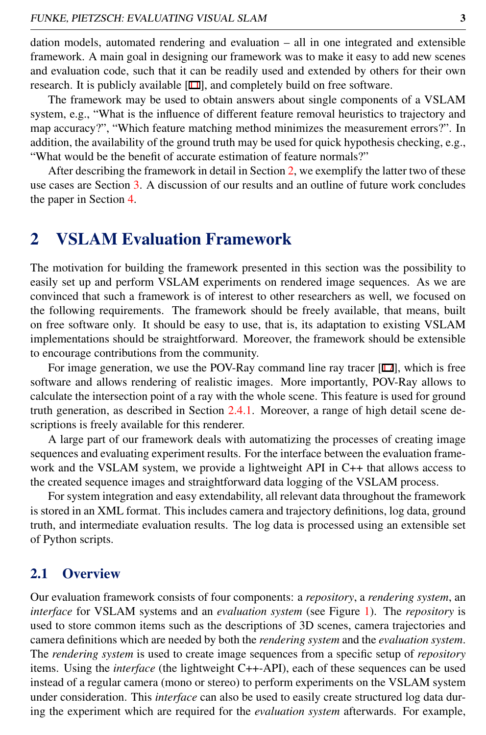dation models, automated rendering and evaluation – all in one integrated and extensible framework. A main goal in designing our framework was to make it easy to add new scenes and evaluation code, such that it can be readily used and extended by others for their own research. It is publicly available [11], and completely build on free software.

The framework may be used to obtain answers about single components of a VSLAM system, e.g., "What is the influence of different feature removal heuristics to trajectory and map accuracy?", "Which feature matching method minimizes the measurement errors?". In addition, the availability of the ground truth may be used for quick hypothesis checking, e.g., "What would be the benefit of accurate estimation of feature normals?"

After describing the framework in detail in Section [2,](#page-2-0) we exemplify the latter two of these use cases are Section [3.](#page-6-0) A discussion of our results and an outline of future work concludes the paper in Section [4.](#page-8-0)

## <span id="page-2-0"></span>2 VSLAM Evaluation Framework

The motivation for building the framework presented in this section was the possibility to easily set up and perform VSLAM experiments on rendered image sequences. As we are convinced that such a framework is of interest to other researchers as well, we focused on the following requirements. The framework should be freely available, that means, built on free software only. It should be easy to use, that is, its adaptation to existing VSLAM implementations should be straightforward. Moreover, the framework should be extensible to encourage contributions from the community.

For image generation, we use the POV-Ray command line ray tracer [17], which is free software and allows rendering of realistic images. More importantly, POV-Ray allows to calculate the intersection point of a ray with the whole scene. This feature is used for ground truth generation, as described in Section [2.4.1.](#page-5-0) Moreover, a range of high detail scene descriptions is freely available for this renderer.

A large part of our framework deals with automatizing the processes of creating image sequences and evaluating experiment results. For the interface between the evaluation framework and the VSLAM system, we provide a lightweight API in C++ that allows access to the created sequence images and straightforward data logging of the VSLAM process.

For system integration and easy extendability, all relevant data throughout the framework is stored in an XML format. This includes camera and trajectory definitions, log data, ground truth, and intermediate evaluation results. The log data is processed using an extensible set of Python scripts.

### 2.1 Overview

Our evaluation framework consists of four components: a *repository*, a *rendering system*, an *interface* for VSLAM systems and an *evaluation system* (see Figure [1\)](#page-3-0). The *repository* is used to store common items such as the descriptions of 3D scenes, camera trajectories and camera definitions which are needed by both the *rendering system* and the *evaluation system*. The *rendering system* is used to create image sequences from a specific setup of *repository* items. Using the *interface* (the lightweight C++-API), each of these sequences can be used instead of a regular camera (mono or stereo) to perform experiments on the VSLAM system under consideration. This *interface* can also be used to easily create structured log data during the experiment which are required for the *evaluation system* afterwards. For example,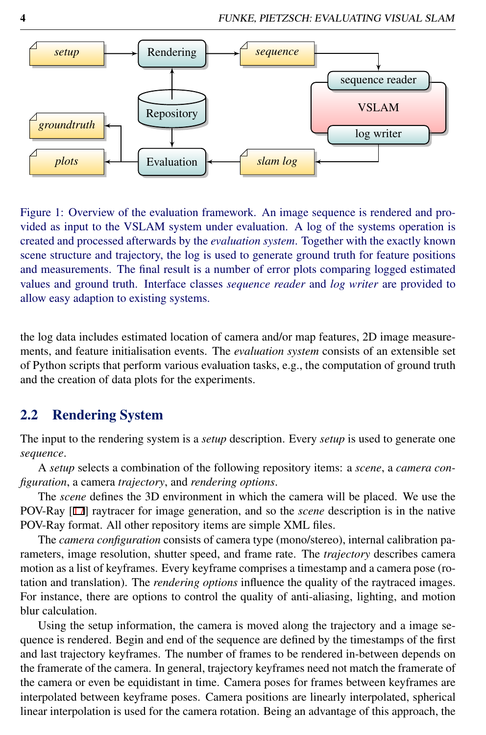

<span id="page-3-0"></span>Figure 1: Overview of the evaluation framework. An image sequence is rendered and provided as input to the VSLAM system under evaluation. A log of the systems operation is created and processed afterwards by the *evaluation system*. Together with the exactly known scene structure and trajectory, the log is used to generate ground truth for feature positions and measurements. The final result is a number of error plots comparing logged estimated values and ground truth. Interface classes *sequence reader* and *log writer* are provided to allow easy adaption to existing systems.

the log data includes estimated location of camera and/or map features, 2D image measurements, and feature initialisation events. The *evaluation system* consists of an extensible set of Python scripts that perform various evaluation tasks, e.g., the computation of ground truth and the creation of data plots for the experiments.

### 2.2 Rendering System

The input to the rendering system is a *setup* description. Every *setup* is used to generate one *sequence*.

A *setup* selects a combination of the following repository items: a *scene*, a *camera configuration*, a camera *trajectory*, and *rendering options*.

The *scene* defines the 3D environment in which the camera will be placed. We use the POV-Ray [17] raytracer for image generation, and so the *scene* description is in the native POV-Ray format. All other repository items are simple XML files.

The *camera configuration* consists of camera type (mono/stereo), internal calibration parameters, image resolution, shutter speed, and frame rate. The *trajectory* describes camera motion as a list of keyframes. Every keyframe comprises a timestamp and a camera pose (rotation and translation). The *rendering options* influence the quality of the raytraced images. For instance, there are options to control the quality of anti-aliasing, lighting, and motion blur calculation.

Using the setup information, the camera is moved along the trajectory and a image sequence is rendered. Begin and end of the sequence are defined by the timestamps of the first and last trajectory keyframes. The number of frames to be rendered in-between depends on the framerate of the camera. In general, trajectory keyframes need not match the framerate of the camera or even be equidistant in time. Camera poses for frames between keyframes are interpolated between keyframe poses. Camera positions are linearly interpolated, spherical linear interpolation is used for the camera rotation. Being an advantage of this approach, the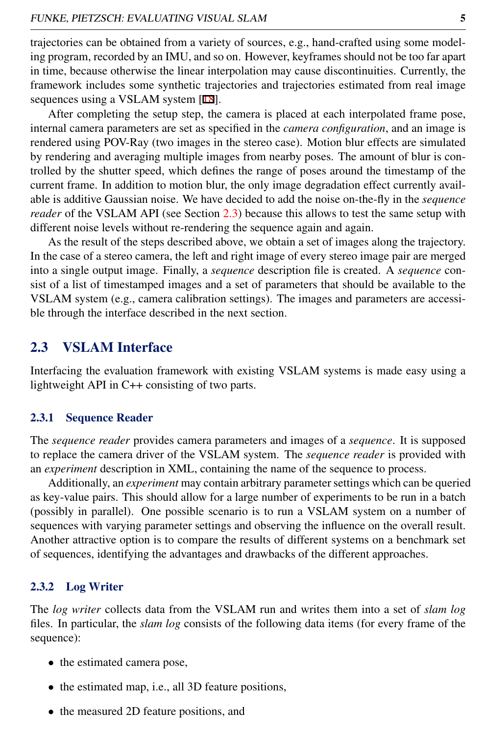trajectories can be obtained from a variety of sources, e.g., hand-crafted using some modeling program, recorded by an IMU, and so on. However, keyframes should not be too far apart in time, because otherwise the linear interpolation may cause discontinuities. Currently, the framework includes some synthetic trajectories and trajectories estimated from real image sequences using a VSLAM system [18].

After completing the setup step, the camera is placed at each interpolated frame pose, internal camera parameters are set as specified in the *camera configuration*, and an image is rendered using POV-Ray (two images in the stereo case). Motion blur effects are simulated by rendering and averaging multiple images from nearby poses. The amount of blur is controlled by the shutter speed, which defines the range of poses around the timestamp of the current frame. In addition to motion blur, the only image degradation effect currently available is additive Gaussian noise. We have decided to add the noise on-the-fly in the *sequence reader* of the VSLAM API (see Section [2.3\)](#page-4-0) because this allows to test the same setup with different noise levels without re-rendering the sequence again and again.

As the result of the steps described above, we obtain a set of images along the trajectory. In the case of a stereo camera, the left and right image of every stereo image pair are merged into a single output image. Finally, a *sequence* description file is created. A *sequence* consist of a list of timestamped images and a set of parameters that should be available to the VSLAM system (e.g., camera calibration settings). The images and parameters are accessible through the interface described in the next section.

### <span id="page-4-0"></span>2.3 VSLAM Interface

Interfacing the evaluation framework with existing VSLAM systems is made easy using a lightweight API in C++ consisting of two parts.

#### 2.3.1 Sequence Reader

The *sequence reader* provides camera parameters and images of a *sequence*. It is supposed to replace the camera driver of the VSLAM system. The *sequence reader* is provided with an *experiment* description in XML, containing the name of the sequence to process.

Additionally, an *experiment* may contain arbitrary parameter settings which can be queried as key-value pairs. This should allow for a large number of experiments to be run in a batch (possibly in parallel). One possible scenario is to run a VSLAM system on a number of sequences with varying parameter settings and observing the influence on the overall result. Another attractive option is to compare the results of different systems on a benchmark set of sequences, identifying the advantages and drawbacks of the different approaches.

#### 2.3.2 Log Writer

The *log writer* collects data from the VSLAM run and writes them into a set of *slam log* files. In particular, the *slam log* consists of the following data items (for every frame of the sequence):

- the estimated camera pose,
- the estimated map, i.e., all 3D feature positions,
- the measured 2D feature positions, and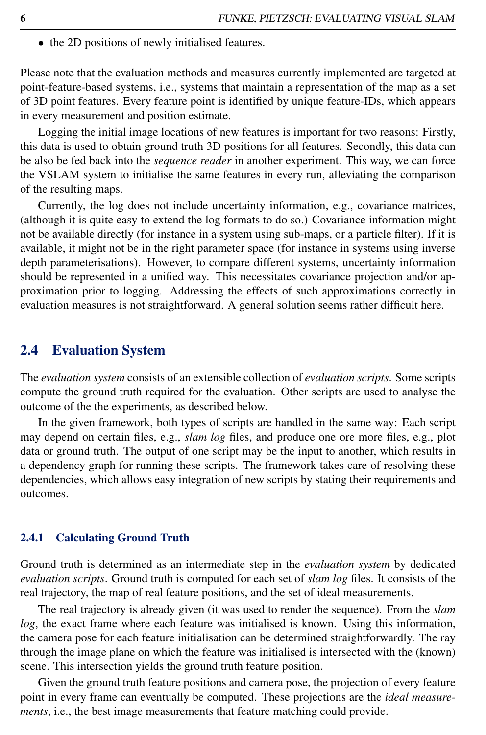• the 2D positions of newly initialised features.

Please note that the evaluation methods and measures currently implemented are targeted at point-feature-based systems, i.e., systems that maintain a representation of the map as a set of 3D point features. Every feature point is identified by unique feature-IDs, which appears in every measurement and position estimate.

Logging the initial image locations of new features is important for two reasons: Firstly, this data is used to obtain ground truth 3D positions for all features. Secondly, this data can be also be fed back into the *sequence reader* in another experiment. This way, we can force the VSLAM system to initialise the same features in every run, alleviating the comparison of the resulting maps.

Currently, the log does not include uncertainty information, e.g., covariance matrices, (although it is quite easy to extend the log formats to do so.) Covariance information might not be available directly (for instance in a system using sub-maps, or a particle filter). If it is available, it might not be in the right parameter space (for instance in systems using inverse depth parameterisations). However, to compare different systems, uncertainty information should be represented in a unified way. This necessitates covariance projection and/or approximation prior to logging. Addressing the effects of such approximations correctly in evaluation measures is not straightforward. A general solution seems rather difficult here.

### 2.4 Evaluation System

The *evaluation system* consists of an extensible collection of *evaluation scripts*. Some scripts compute the ground truth required for the evaluation. Other scripts are used to analyse the outcome of the the experiments, as described below.

In the given framework, both types of scripts are handled in the same way: Each script may depend on certain files, e.g., *slam log* files, and produce one ore more files, e.g., plot data or ground truth. The output of one script may be the input to another, which results in a dependency graph for running these scripts. The framework takes care of resolving these dependencies, which allows easy integration of new scripts by stating their requirements and outcomes.

#### <span id="page-5-0"></span>2.4.1 Calculating Ground Truth

Ground truth is determined as an intermediate step in the *evaluation system* by dedicated *evaluation scripts*. Ground truth is computed for each set of *slam log* files. It consists of the real trajectory, the map of real feature positions, and the set of ideal measurements.

The real trajectory is already given (it was used to render the sequence). From the *slam log*, the exact frame where each feature was initialised is known. Using this information, the camera pose for each feature initialisation can be determined straightforwardly. The ray through the image plane on which the feature was initialised is intersected with the (known) scene. This intersection yields the ground truth feature position.

Given the ground truth feature positions and camera pose, the projection of every feature point in every frame can eventually be computed. These projections are the *ideal measurements*, i.e., the best image measurements that feature matching could provide.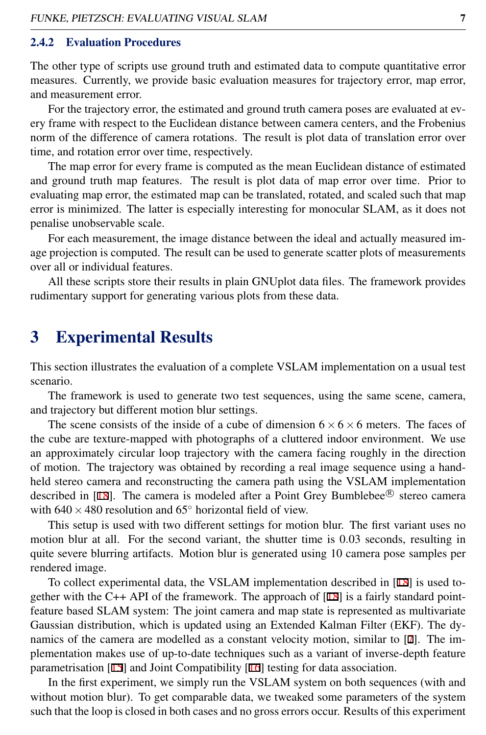#### 2.4.2 Evaluation Procedures

The other type of scripts use ground truth and estimated data to compute quantitative error measures. Currently, we provide basic evaluation measures for trajectory error, map error, and measurement error.

For the trajectory error, the estimated and ground truth camera poses are evaluated at every frame with respect to the Euclidean distance between camera centers, and the Frobenius norm of the difference of camera rotations. The result is plot data of translation error over time, and rotation error over time, respectively.

The map error for every frame is computed as the mean Euclidean distance of estimated and ground truth map features. The result is plot data of map error over time. Prior to evaluating map error, the estimated map can be translated, rotated, and scaled such that map error is minimized. The latter is especially interesting for monocular SLAM, as it does not penalise unobservable scale.

For each measurement, the image distance between the ideal and actually measured image projection is computed. The result can be used to generate scatter plots of measurements over all or individual features.

All these scripts store their results in plain GNUplot data files. The framework provides rudimentary support for generating various plots from these data.

# <span id="page-6-0"></span>3 Experimental Results

This section illustrates the evaluation of a complete VSLAM implementation on a usual test scenario.

The framework is used to generate two test sequences, using the same scene, camera, and trajectory but different motion blur settings.

The scene consists of the inside of a cube of dimension  $6 \times 6 \times 6$  meters. The faces of the cube are texture-mapped with photographs of a cluttered indoor environment. We use an approximately circular loop trajectory with the camera facing roughly in the direction of motion. The trajectory was obtained by recording a real image sequence using a handheld stereo camera and reconstructing the camera path using the VSLAM implementation described in  $[18]$ . The camera is modeled after a Point Grey Bumblebee<sup>®</sup> stereo camera with  $640 \times 480$  resolution and  $65^\circ$  horizontal field of view.

This setup is used with two different settings for motion blur. The first variant uses no motion blur at all. For the second variant, the shutter time is 0.03 seconds, resulting in quite severe blurring artifacts. Motion blur is generated using 10 camera pose samples per rendered image.

To collect experimental data, the VSLAM implementation described in [18] is used together with the C++ API of the framework. The approach of  $[18]$  is a fairly standard pointfeature based SLAM system: The joint camera and map state is represented as multivariate Gaussian distribution, which is updated using an Extended Kalman Filter (EKF). The dynamics of the camera are modelled as a constant velocity motion, similar to [7]. The implementation makes use of up-to-date techniques such as a variant of inverse-depth feature parametrisation [15] and Joint Compatibility [16] testing for data association.

In the first experiment, we simply run the VSLAM system on both sequences (with and without motion blur). To get comparable data, we tweaked some parameters of the system such that the loop is closed in both cases and no gross errors occur. Results of this experiment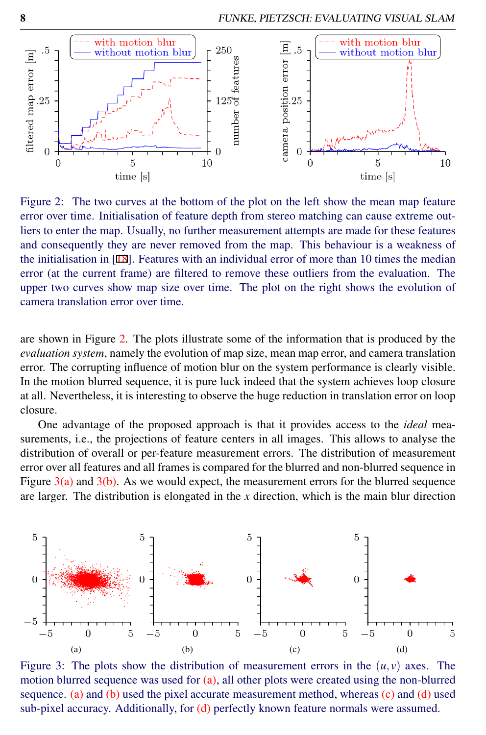

<span id="page-7-0"></span>Figure 2: The two curves at the bottom of the plot on the left show the mean map feature error over time. Initialisation of feature depth from stereo matching can cause extreme outliers to enter the map. Usually, no further measurement attempts are made for these features and consequently they are never removed from the map. This behaviour is a weakness of the initialisation in [18]. Features with an individual error of more than 10 times the median error (at the current frame) are filtered to remove these outliers from the evaluation. The upper two curves show map size over time. The plot on the right shows the evolution of camera translation error over time.

are shown in Figure [2.](#page-7-0) The plots illustrate some of the information that is produced by the *evaluation system*, namely the evolution of map size, mean map error, and camera translation error. The corrupting influence of motion blur on the system performance is clearly visible. In the motion blurred sequence, it is pure luck indeed that the system achieves loop closure at all. Nevertheless, it is interesting to observe the huge reduction in translation error on loop closure.

One advantage of the proposed approach is that it provides access to the *ideal* measurements, i.e., the projections of feature centers in all images. This allows to analyse the distribution of overall or per-feature measurement errors. The distribution of measurement error over all features and all frames is compared for the blurred and non-blurred sequence in Figure  $3(a)$  and  $3(b)$ . As we would expect, the measurement errors for the blurred sequence are larger. The distribution is elongated in the *x* direction, which is the main blur direction

<span id="page-7-1"></span>

<span id="page-7-4"></span><span id="page-7-3"></span><span id="page-7-2"></span>Figure 3: The plots show the distribution of measurement errors in the  $(u, v)$  axes. The motion blurred sequence was used for [\(a\),](#page-7-1) all other plots were created using the non-blurred sequence. [\(a\)](#page-7-1) and [\(b\)](#page-7-2) used the pixel accurate measurement method, whereas  $(c)$  and  $(d)$  used sub-pixel accuracy. Additionally, for [\(d\)](#page-7-4) perfectly known feature normals were assumed.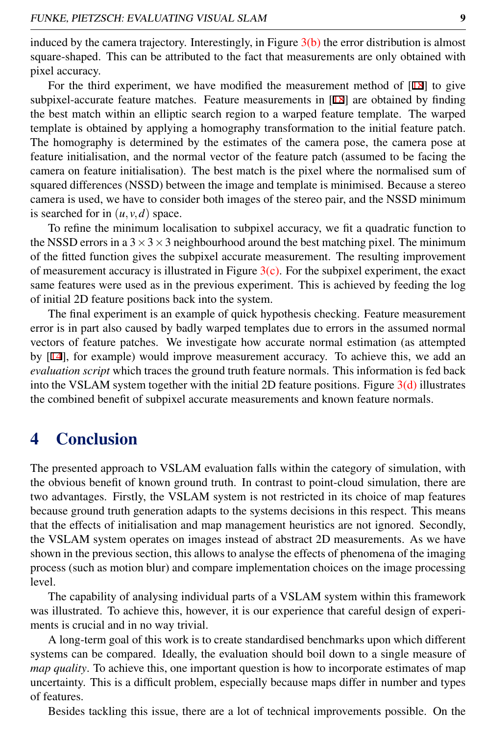induced by the camera trajectory. Interestingly, in Figure  $3(b)$  the error distribution is almost square-shaped. This can be attributed to the fact that measurements are only obtained with pixel accuracy.

For the third experiment, we have modified the measurement method of [18] to give subpixel-accurate feature matches. Feature measurements in [18] are obtained by finding the best match within an elliptic search region to a warped feature template. The warped template is obtained by applying a homography transformation to the initial feature patch. The homography is determined by the estimates of the camera pose, the camera pose at feature initialisation, and the normal vector of the feature patch (assumed to be facing the camera on feature initialisation). The best match is the pixel where the normalised sum of squared differences (NSSD) between the image and template is minimised. Because a stereo camera is used, we have to consider both images of the stereo pair, and the NSSD minimum is searched for in  $(u, v, d)$  space.

To refine the minimum localisation to subpixel accuracy, we fit a quadratic function to the NSSD errors in a  $3 \times 3 \times 3$  neighbourhood around the best matching pixel. The minimum of the fitted function gives the subpixel accurate measurement. The resulting improvement of measurement accuracy is illustrated in Figure  $3(c)$ . For the subpixel experiment, the exact same features were used as in the previous experiment. This is achieved by feeding the log of initial 2D feature positions back into the system.

The final experiment is an example of quick hypothesis checking. Feature measurement error is in part also caused by badly warped templates due to errors in the assumed normal vectors of feature patches. We investigate how accurate normal estimation (as attempted by [14], for example) would improve measurement accuracy. To achieve this, we add an *evaluation script* which traces the ground truth feature normals. This information is fed back into the VSLAM system together with the initial 2D feature positions. Figure  $3(d)$  illustrates the combined benefit of subpixel accurate measurements and known feature normals.

# <span id="page-8-0"></span>4 Conclusion

The presented approach to VSLAM evaluation falls within the category of simulation, with the obvious benefit of known ground truth. In contrast to point-cloud simulation, there are two advantages. Firstly, the VSLAM system is not restricted in its choice of map features because ground truth generation adapts to the systems decisions in this respect. This means that the effects of initialisation and map management heuristics are not ignored. Secondly, the VSLAM system operates on images instead of abstract 2D measurements. As we have shown in the previous section, this allows to analyse the effects of phenomena of the imaging process (such as motion blur) and compare implementation choices on the image processing level.

The capability of analysing individual parts of a VSLAM system within this framework was illustrated. To achieve this, however, it is our experience that careful design of experiments is crucial and in no way trivial.

A long-term goal of this work is to create standardised benchmarks upon which different systems can be compared. Ideally, the evaluation should boil down to a single measure of *map quality*. To achieve this, one important question is how to incorporate estimates of map uncertainty. This is a difficult problem, especially because maps differ in number and types of features.

Besides tackling this issue, there are a lot of technical improvements possible. On the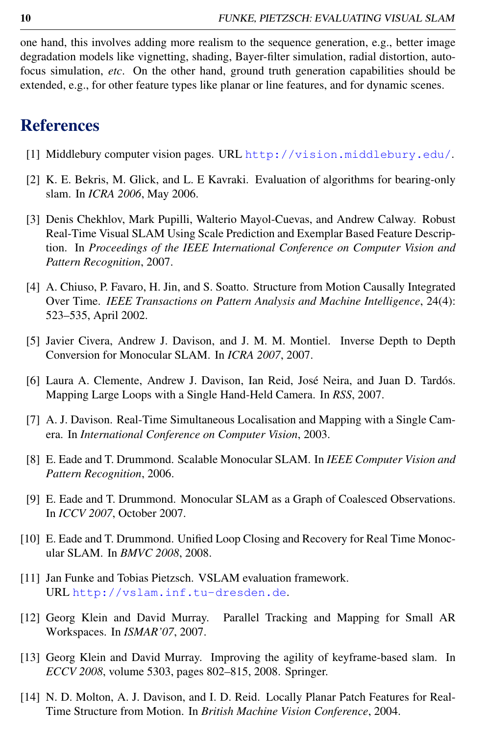one hand, this involves adding more realism to the sequence generation, e.g., better image degradation models like vignetting, shading, Bayer-filter simulation, radial distortion, autofocus simulation, *etc*. On the other hand, ground truth generation capabilities should be extended, e.g., for other feature types like planar or line features, and for dynamic scenes.

# References

- [1] Middlebury computer vision pages. URL <http://vision.middlebury.edu/>.
- [2] K. E. Bekris, M. Glick, and L. E Kavraki. Evaluation of algorithms for bearing-only slam. In *ICRA 2006*, May 2006.
- [3] Denis Chekhlov, Mark Pupilli, Walterio Mayol-Cuevas, and Andrew Calway. Robust Real-Time Visual SLAM Using Scale Prediction and Exemplar Based Feature Description. In *Proceedings of the IEEE International Conference on Computer Vision and Pattern Recognition*, 2007.
- [4] A. Chiuso, P. Favaro, H. Jin, and S. Soatto. Structure from Motion Causally Integrated Over Time. *IEEE Transactions on Pattern Analysis and Machine Intelligence*, 24(4): 523–535, April 2002.
- [5] Javier Civera, Andrew J. Davison, and J. M. M. Montiel. Inverse Depth to Depth Conversion for Monocular SLAM. In *ICRA 2007*, 2007.
- [6] Laura A. Clemente, Andrew J. Davison, Ian Reid, José Neira, and Juan D. Tardós. Mapping Large Loops with a Single Hand-Held Camera. In *RSS*, 2007.
- [7] A. J. Davison. Real-Time Simultaneous Localisation and Mapping with a Single Camera. In *International Conference on Computer Vision*, 2003.
- [8] E. Eade and T. Drummond. Scalable Monocular SLAM. In *IEEE Computer Vision and Pattern Recognition*, 2006.
- [9] E. Eade and T. Drummond. Monocular SLAM as a Graph of Coalesced Observations. In *ICCV 2007*, October 2007.
- [10] E. Eade and T. Drummond. Unified Loop Closing and Recovery for Real Time Monocular SLAM. In *BMVC 2008*, 2008.
- [11] Jan Funke and Tobias Pietzsch. VSLAM evaluation framework. URL <http://vslam.inf.tu-dresden.de>.
- [12] Georg Klein and David Murray. Parallel Tracking and Mapping for Small AR Workspaces. In *ISMAR'07*, 2007.
- [13] Georg Klein and David Murray. Improving the agility of keyframe-based slam. In *ECCV 2008*, volume 5303, pages 802–815, 2008. Springer.
- [14] N. D. Molton, A. J. Davison, and I. D. Reid. Locally Planar Patch Features for Real-Time Structure from Motion. In *British Machine Vision Conference*, 2004.